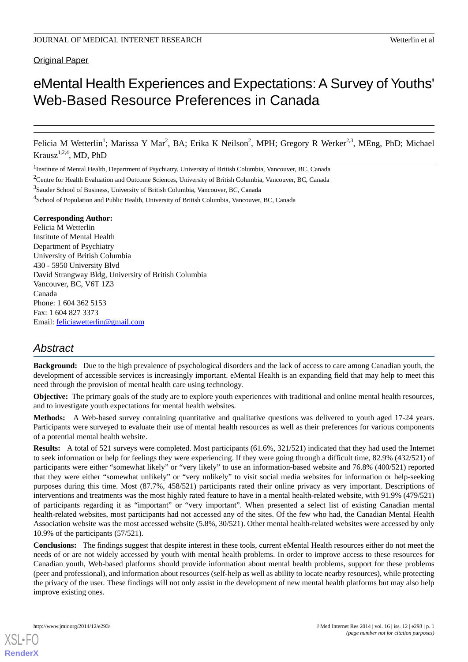# eMental Health Experiences and Expectations: A Survey of Youths' Web-Based Resource Preferences in Canada

Felicia M Wetterlin<sup>1</sup>; Marissa Y Mar<sup>2</sup>, BA; Erika K Neilson<sup>2</sup>, MPH; Gregory R Werker<sup>2,3</sup>, MEng, PhD; Michael Krausz<sup>1,2,4</sup>, MD, PhD

<sup>1</sup>Institute of Mental Health, Department of Psychiatry, University of British Columbia, Vancouver, BC, Canada

<sup>3</sup>Sauder School of Business, University of British Columbia, Vancouver, BC, Canada

<sup>4</sup>School of Population and Public Health, University of British Columbia, Vancouver, BC, Canada

#### **Corresponding Author:**

Felicia M Wetterlin Institute of Mental Health Department of Psychiatry University of British Columbia 430 - 5950 University Blvd David Strangway Bldg, University of British Columbia Vancouver, BC, V6T 1Z3 Canada Phone: 1 604 362 5153 Fax: 1 604 827 3373 Email: [feliciawetterlin@gmail.com](mailto:feliciawetterlin@gmail.com)

# *Abstract*

**Background:** Due to the high prevalence of psychological disorders and the lack of access to care among Canadian youth, the development of accessible services is increasingly important. eMental Health is an expanding field that may help to meet this need through the provision of mental health care using technology.

**Objective:** The primary goals of the study are to explore youth experiences with traditional and online mental health resources, and to investigate youth expectations for mental health websites.

**Methods:** A Web-based survey containing quantitative and qualitative questions was delivered to youth aged 17-24 years. Participants were surveyed to evaluate their use of mental health resources as well as their preferences for various components of a potential mental health website.

**Results:** A total of 521 surveys were completed. Most participants (61.6%, 321/521) indicated that they had used the Internet to seek information or help for feelings they were experiencing. If they were going through a difficult time, 82.9% (432/521) of participants were either "somewhat likely" or "very likely" to use an information-based website and 76.8% (400/521) reported that they were either "somewhat unlikely" or "very unlikely" to visit social media websites for information or help-seeking purposes during this time. Most (87.7%, 458/521) participants rated their online privacy as very important. Descriptions of interventions and treatments was the most highly rated feature to have in a mental health-related website, with 91.9% (479/521) of participants regarding it as "important" or "very important". When presented a select list of existing Canadian mental health-related websites, most participants had not accessed any of the sites. Of the few who had, the Canadian Mental Health Association website was the most accessed website (5.8%, 30/521). Other mental health-related websites were accessed by only 10.9% of the participants (57/521).

**Conclusions:** The findings suggest that despite interest in these tools, current eMental Health resources either do not meet the needs of or are not widely accessed by youth with mental health problems. In order to improve access to these resources for Canadian youth, Web-based platforms should provide information about mental health problems, support for these problems (peer and professional), and information about resources (self-help as well as ability to locate nearby resources), while protecting the privacy of the user. These findings will not only assist in the development of new mental health platforms but may also help improve existing ones.

<sup>2</sup>Centre for Health Evaluation and Outcome Sciences, University of British Columbia, Vancouver, BC, Canada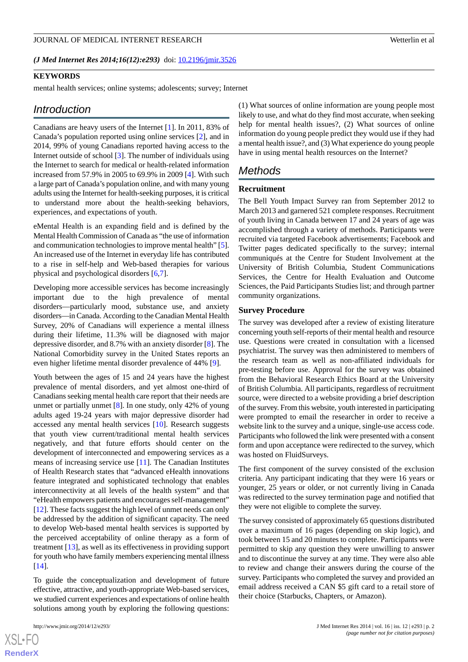(*J Med Internet Res 2014;16(12):e293*) doi:  $10.2196/$ jmir.3526

#### **KEYWORDS**

mental health services; online systems; adolescents; survey; Internet

# *Introduction*

Canadians are heavy users of the Internet [\[1](#page-6-0)]. In 2011, 83% of Canada's population reported using online services [\[2](#page-6-1)], and in 2014, 99% of young Canadians reported having access to the Internet outside of school [\[3](#page-6-2)]. The number of individuals using the Internet to search for medical or health-related information increased from 57.9% in 2005 to 69.9% in 2009 [\[4](#page-6-3)]. With such a large part of Canada's population online, and with many young adults using the Internet for health-seeking purposes, it is critical to understand more about the health-seeking behaviors, experiences, and expectations of youth.

eMental Health is an expanding field and is defined by the Mental Health Commission of Canada as "the use of information and communication technologies to improve mental health" [[5\]](#page-6-4). An increased use of the Internet in everyday life has contributed to a rise in self-help and Web-based therapies for various physical and psychological disorders [[6](#page-6-5)[,7](#page-6-6)].

Developing more accessible services has become increasingly important due to the high prevalence of mental disorders—particularly mood, substance use, and anxiety disorders—in Canada. According to the Canadian Mental Health Survey, 20% of Canadians will experience a mental illness during their lifetime, 11.3% will be diagnosed with major depressive disorder, and 8.7% with an anxiety disorder [\[8](#page-6-7)]. The National Comorbidity survey in the United States reports an even higher lifetime mental disorder prevalence of 44% [\[9\]](#page-6-8).

Youth between the ages of 15 and 24 years have the highest prevalence of mental disorders, and yet almost one-third of Canadians seeking mental health care report that their needs are unmet or partially unmet [[8](#page-6-7)]. In one study, only 42% of young adults aged 19-24 years with major depressive disorder had accessed any mental health services [[10\]](#page-6-9). Research suggests that youth view current/traditional mental health services negatively, and that future efforts should center on the development of interconnected and empowering services as a means of increasing service use [\[11](#page-6-10)]. The Canadian Institutes of Health Research states that "advanced eHealth innovations feature integrated and sophisticated technology that enables interconnectivity at all levels of the health system" and that "eHealth empowers patients and encourages self-management" [[12\]](#page-6-11). These facts suggest the high level of unmet needs can only be addressed by the addition of significant capacity. The need to develop Web-based mental health services is supported by the perceived acceptability of online therapy as a form of treatment [[13\]](#page-6-12), as well as its effectiveness in providing support for youth who have family members experiencing mental illness [[14\]](#page-6-13).

To guide the conceptualization and development of future effective, attractive, and youth-appropriate Web-based services, we studied current experiences and expectations of online health solutions among youth by exploring the following questions:

(1) What sources of online information are young people most likely to use, and what do they find most accurate, when seeking help for mental health issues?, (2) What sources of online information do young people predict they would use if they had a mental health issue?, and (3) What experience do young people have in using mental health resources on the Internet?

# *Methods*

#### **Recruitment**

The Bell Youth Impact Survey ran from September 2012 to March 2013 and garnered 521 complete responses. Recruitment of youth living in Canada between 17 and 24 years of age was accomplished through a variety of methods. Participants were recruited via targeted Facebook advertisements; Facebook and Twitter pages dedicated specifically to the survey; internal communiqués at the Centre for Student Involvement at the University of British Columbia, Student Communications Services, the Centre for Health Evaluation and Outcome Sciences, the Paid Participants Studies list; and through partner community organizations.

#### **Survey Procedure**

The survey was developed after a review of existing literature concerning youth self-reports of their mental health and resource use. Questions were created in consultation with a licensed psychiatrist. The survey was then administered to members of the research team as well as non-affiliated individuals for pre-testing before use. Approval for the survey was obtained from the Behavioral Research Ethics Board at the University of British Columbia. All participants, regardless of recruitment source, were directed to a website providing a brief description of the survey. From this website, youth interested in participating were prompted to email the researcher in order to receive a website link to the survey and a unique, single-use access code. Participants who followed the link were presented with a consent form and upon acceptance were redirected to the survey, which was hosted on FluidSurveys.

The first component of the survey consisted of the exclusion criteria. Any participant indicating that they were 16 years or younger, 25 years or older, or not currently living in Canada was redirected to the survey termination page and notified that they were not eligible to complete the survey.

The survey consisted of approximately 65 questions distributed over a maximum of 16 pages (depending on skip logic), and took between 15 and 20 minutes to complete. Participants were permitted to skip any question they were unwilling to answer and to discontinue the survey at any time. They were also able to review and change their answers during the course of the survey. Participants who completed the survey and provided an email address received a CAN \$5 gift card to a retail store of their choice (Starbucks, Chapters, or Amazon).

 $XS$  $\cdot$ FC **[RenderX](http://www.renderx.com/)**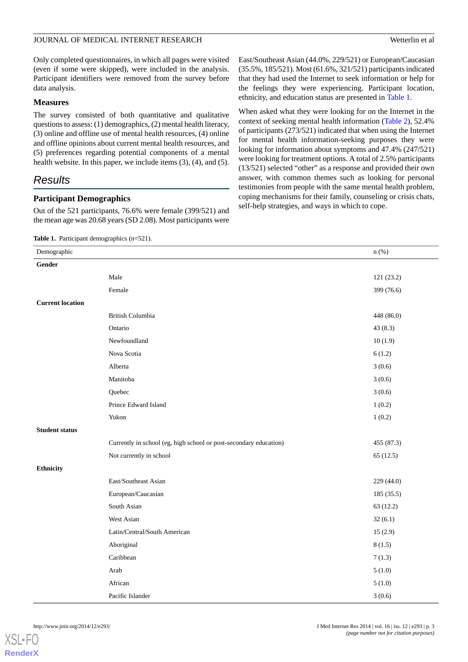Only completed questionnaires, in which all pages were visited (even if some were skipped), were included in the analysis. Participant identifiers were removed from the survey before data analysis.

## **Measures**

The survey consisted of both quantitative and qualitative questions to assess: (1) demographics, (2) mental health literacy, (3) online and offline use of mental health resources, (4) online and offline opinions about current mental health resources, and (5) preferences regarding potential components of a mental health website. In this paper, we include items (3), (4), and (5).

# *Results*

## **Participant Demographics**

<span id="page-2-0"></span>Out of the 521 participants, 76.6% were female (399/521) and the mean age was 20.68 years (SD 2.08). Most participants were

#### Table 1. Participant demographics (n=521).

East/Southeast Asian (44.0%, 229/521) or European/Caucasian (35.5%, 185/521). Most (61.6%, 321/521) participants indicated that they had used the Internet to seek information or help for the feelings they were experiencing. Participant location, ethnicity, and education status are presented in [Table 1.](#page-2-0)

When asked what they were looking for on the Internet in the context of seeking mental health information [\(Table 2\)](#page-3-0), 52.4% of participants (273/521) indicated that when using the Internet for mental health information-seeking purposes they were looking for information about symptoms and 47.4% (247/521) were looking for treatment options. A total of 2.5% participants (13/521) selected "other" as a response and provided their own answer, with common themes such as looking for personal testimonies from people with the same mental health problem, coping mechanisms for their family, counseling or crisis chats, self-help strategies, and ways in which to cope.

| Demographic             |                                                                   | $n$ (%)    |
|-------------------------|-------------------------------------------------------------------|------------|
| Gender                  |                                                                   |            |
|                         | Male                                                              | 121 (23.2) |
|                         | Female                                                            | 399 (76.6) |
| <b>Current location</b> |                                                                   |            |
|                         | British Columbia                                                  | 448 (86.0) |
|                         | Ontario                                                           | 43(8.3)    |
|                         | Newfoundland                                                      | 10(1.9)    |
|                         | Nova Scotia                                                       | 6(1.2)     |
|                         | Alberta                                                           | 3(0.6)     |
|                         | Manitoba                                                          | 3(0.6)     |
|                         | Quebec                                                            | 3(0.6)     |
|                         | Prince Edward Island                                              | 1(0.2)     |
|                         | Yukon                                                             | 1(0.2)     |
| <b>Student status</b>   |                                                                   |            |
|                         | Currently in school (eg, high school or post-secondary education) | 455 (87.3) |
|                         | Not currently in school                                           | 65(12.5)   |
| Ethnicity               |                                                                   |            |
|                         | East/Southeast Asian                                              | 229 (44.0) |
|                         | European/Caucasian                                                | 185 (35.5) |
|                         | South Asian                                                       | 63(12.2)   |
|                         | West Asian                                                        | 32(6.1)    |
|                         | Latin/Central/South American                                      | 15(2.9)    |
|                         | Aboriginal                                                        | 8(1.5)     |
|                         | Caribbean                                                         | 7(1.3)     |
|                         | Arab                                                              | 5(1.0)     |
|                         | African                                                           | 5(1.0)     |
|                         | Pacific Islander                                                  | 3(0.6)     |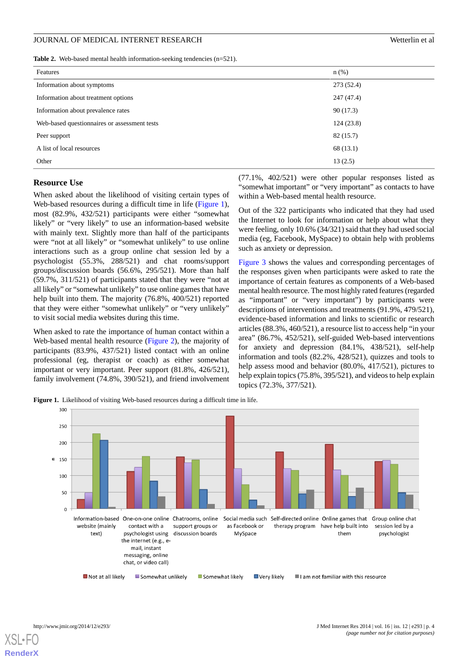#### JOURNAL OF MEDICAL INTERNET RESEARCH

| Wetterlin et al |  |  |
|-----------------|--|--|
|                 |  |  |

<span id="page-3-0"></span>

|  |  |  |  | Table 2. Web-based mental health information-seeking tendencies $(n=521)$ . |  |  |  |
|--|--|--|--|-----------------------------------------------------------------------------|--|--|--|
|--|--|--|--|-----------------------------------------------------------------------------|--|--|--|

| Features                                     | $n$ (%)    |
|----------------------------------------------|------------|
| Information about symptoms                   | 273(52.4)  |
| Information about treatment options          | 247 (47.4) |
| Information about prevalence rates           | 90(17.3)   |
| Web-based questionnaires or assessment tests | 124(23.8)  |
| Peer support                                 | 82(15.7)   |
| A list of local resources                    | 68 (13.1)  |
| Other                                        | 13(2.5)    |

#### **Resource Use**

When asked about the likelihood of visiting certain types of Web-based resources during a difficult time in life ([Figure 1\)](#page-3-1), most (82.9%, 432/521) participants were either "somewhat likely" or "very likely" to use an information-based website with mainly text. Slightly more than half of the participants were "not at all likely" or "somewhat unlikely" to use online interactions such as a group online chat session led by a psychologist (55.3%, 288/521) and chat rooms/support groups/discussion boards (56.6%, 295/521). More than half (59.7%, 311/521) of participants stated that they were "not at all likely" or "somewhat unlikely" to use online games that have help built into them. The majority (76.8%, 400/521) reported that they were either "somewhat unlikely" or "very unlikely" to visit social media websites during this time.

<span id="page-3-1"></span>When asked to rate the importance of human contact within a Web-based mental health resource ([Figure 2](#page-4-0)), the majority of participants (83.9%, 437/521) listed contact with an online professional (eg, therapist or coach) as either somewhat important or very important. Peer support (81.8%, 426/521), family involvement (74.8%, 390/521), and friend involvement (77.1%, 402/521) were other popular responses listed as "somewhat important" or "very important" as contacts to have within a Web-based mental health resource.

Out of the 322 participants who indicated that they had used the Internet to look for information or help about what they were feeling, only 10.6% (34/321) said that they had used social media (eg, Facebook, MySpace) to obtain help with problems such as anxiety or depression.

[Figure 3](#page-4-1) shows the values and corresponding percentages of the responses given when participants were asked to rate the importance of certain features as components of a Web-based mental health resource. The most highly rated features (regarded as "important" or "very important") by participants were descriptions of interventions and treatments (91.9%, 479/521), evidence-based information and links to scientific or research articles (88.3%, 460/521), a resource list to access help "in your area" (86.7%, 452/521), self-guided Web-based interventions for anxiety and depression (84.1%, 438/521), self-help information and tools (82.2%, 428/521), quizzes and tools to help assess mood and behavior (80.0%, 417/521), pictures to help explain topics (75.8%, 395/521), and videos to help explain topics (72.3%, 377/521).

Figure 1. Likelihood of visiting Web-based resources during a difficult time in life.

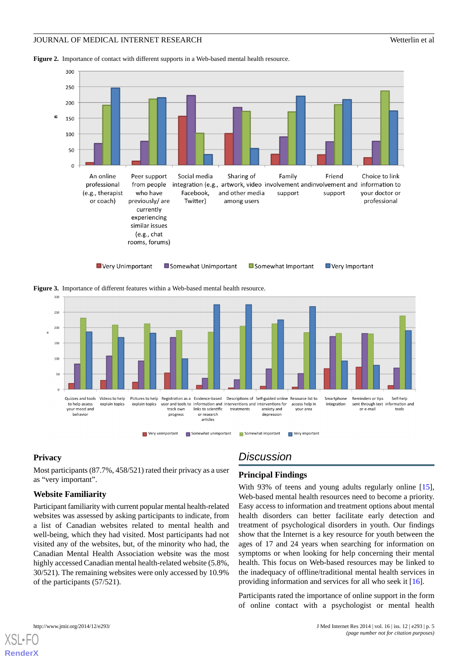<span id="page-4-0"></span>**Figure 2.** Importance of contact with different supports in a Web-based mental health resource.



<span id="page-4-1"></span>**Figure 3.** Importance of different features within a Web-based mental health resource.



#### **Privacy**

Most participants (87.7%, 458/521) rated their privacy as a user as "very important".

#### **Website Familiarity**

Participant familiarity with current popular mental health-related websites was assessed by asking participants to indicate, from a list of Canadian websites related to mental health and well-being, which they had visited. Most participants had not visited any of the websites, but, of the minority who had, the Canadian Mental Health Association website was the most highly accessed Canadian mental health-related website (5.8%, 30/521). The remaining websites were only accessed by 10.9% of the participants (57/521).

# *Discussion*

## **Principal Findings**

With 93% of teens and young adults regularly online [[15\]](#page-6-14), Web-based mental health resources need to become a priority. Easy access to information and treatment options about mental health disorders can better facilitate early detection and treatment of psychological disorders in youth. Our findings show that the Internet is a key resource for youth between the ages of 17 and 24 years when searching for information on symptoms or when looking for help concerning their mental health. This focus on Web-based resources may be linked to the inadequacy of offline/traditional mental health services in providing information and services for all who seek it [\[16](#page-6-15)].

Participants rated the importance of online support in the form of online contact with a psychologist or mental health

```
XSL•FO
RenderX
```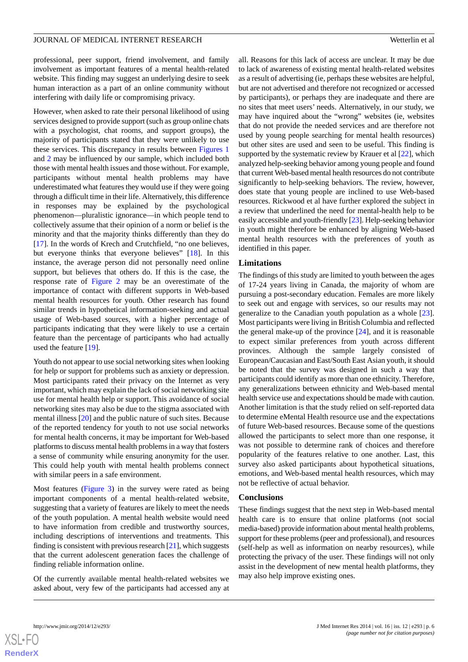professional, peer support, friend involvement, and family involvement as important features of a mental health-related website. This finding may suggest an underlying desire to seek human interaction as a part of an online community without interfering with daily life or compromising privacy.

However, when asked to rate their personal likelihood of using services designed to provide support (such as group online chats with a psychologist, chat rooms, and support groups), the majority of participants stated that they were unlikely to use these services. This discrepancy in results between [Figures 1](#page-3-1) and [2](#page-4-0) may be influenced by our sample, which included both those with mental health issues and those without. For example, participants without mental health problems may have underestimated what features they would use if they were going through a difficult time in their life. Alternatively, this difference in responses may be explained by the psychological phenomenon—pluralistic ignorance—in which people tend to collectively assume that their opinion of a norm or belief is the minority and that the majority thinks differently than they do [[17\]](#page-6-16). In the words of Krech and Crutchfield, "no one believes, but everyone thinks that everyone believes" [[18\]](#page-6-17). In this instance, the average person did not personally need online support, but believes that others do. If this is the case, the response rate of [Figure 2](#page-4-0) may be an overestimate of the importance of contact with different supports in Web-based mental health resources for youth. Other research has found similar trends in hypothetical information-seeking and actual usage of Web-based sources, with a higher percentage of participants indicating that they were likely to use a certain feature than the percentage of participants who had actually used the feature [[19\]](#page-6-18).

Youth do not appear to use social networking sites when looking for help or support for problems such as anxiety or depression. Most participants rated their privacy on the Internet as very important, which may explain the lack of social networking site use for mental health help or support. This avoidance of social networking sites may also be due to the stigma associated with mental illness [\[20](#page-6-19)] and the public nature of such sites. Because of the reported tendency for youth to not use social networks for mental health concerns, it may be important for Web-based platforms to discuss mental health problems in a way that fosters a sense of community while ensuring anonymity for the user. This could help youth with mental health problems connect with similar peers in a safe environment.

Most features ([Figure 3](#page-4-1)) in the survey were rated as being important components of a mental health-related website, suggesting that a variety of features are likely to meet the needs of the youth population. A mental health website would need to have information from credible and trustworthy sources, including descriptions of interventions and treatments. This finding is consistent with previous research [[21\]](#page-7-0), which suggests that the current adolescent generation faces the challenge of finding reliable information online.

Of the currently available mental health-related websites we asked about, very few of the participants had accessed any at all. Reasons for this lack of access are unclear. It may be due to lack of awareness of existing mental health-related websites as a result of advertising (ie, perhaps these websites are helpful, but are not advertised and therefore not recognized or accessed by participants), or perhaps they are inadequate and there are no sites that meet users' needs. Alternatively, in our study, we may have inquired about the "wrong" websites (ie, websites that do not provide the needed services and are therefore not used by young people searching for mental health resources) but other sites are used and seen to be useful. This finding is supported by the systematic review by Krauer et al [\[22](#page-7-1)], which analyzed help-seeking behavior among young people and found that current Web-based mental health resources do not contribute significantly to help-seeking behaviors. The review, however, does state that young people are inclined to use Web-based resources. Rickwood et al have further explored the subject in a review that underlined the need for mental-health help to be easily accessible and youth-friendly [\[23](#page-7-2)]. Help-seeking behavior in youth might therefore be enhanced by aligning Web-based mental health resources with the preferences of youth as identified in this paper.

## **Limitations**

The findings of this study are limited to youth between the ages of 17-24 years living in Canada, the majority of whom are pursuing a post-secondary education. Females are more likely to seek out and engage with services, so our results may not generalize to the Canadian youth population as a whole [[23\]](#page-7-2). Most participants were living in British Columbia and reflected the general make-up of the province [\[24](#page-7-3)], and it is reasonable to expect similar preferences from youth across different provinces. Although the sample largely consisted of European/Caucasian and East/South East Asian youth, it should be noted that the survey was designed in such a way that participants could identify as more than one ethnicity. Therefore, any generalizations between ethnicity and Web-based mental health service use and expectations should be made with caution. Another limitation is that the study relied on self-reported data to determine eMental Health resource use and the expectations of future Web-based resources. Because some of the questions allowed the participants to select more than one response, it was not possible to determine rank of choices and therefore popularity of the features relative to one another. Last, this survey also asked participants about hypothetical situations, emotions, and Web-based mental health resources, which may not be reflective of actual behavior.

#### **Conclusions**

These findings suggest that the next step in Web-based mental health care is to ensure that online platforms (not social media-based) provide information about mental health problems, support for these problems (peer and professional), and resources (self-help as well as information on nearby resources), while protecting the privacy of the user. These findings will not only assist in the development of new mental health platforms, they may also help improve existing ones.

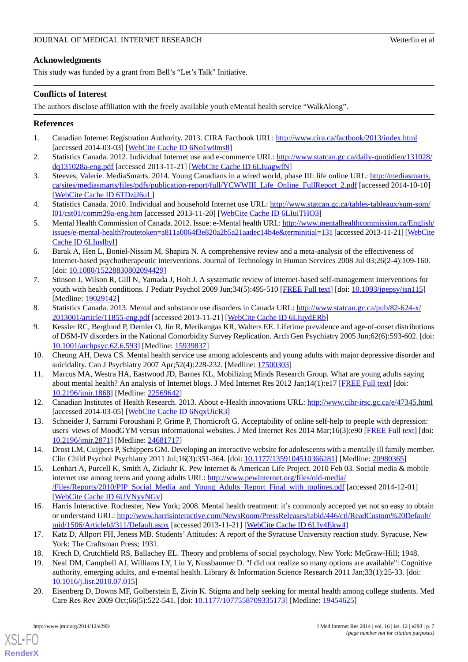# **Acknowledgments**

This study was funded by a grant from Bell's "Let's Talk" Initiative.

# **Conflicts of Interest**

The authors disclose affiliation with the freely available youth eMental health service "WalkAlong".

# <span id="page-6-0"></span>**References**

- <span id="page-6-1"></span>1. Canadian Internet Registration Authority. 2013. CIRA Factbook URL:<http://www.cira.ca/factbook/2013/index.html> [accessed 2014-03-03] [\[WebCite Cache ID 6No1w0ms8](http://www.webcitation.org/

                                                6No1w0ms8)]
- <span id="page-6-2"></span>2. Statistics Canada. 2012. Individual Internet use and e-commerce URL: [http://www.statcan.gc.ca/daily-quotidien/131028/](http://www.statcan.gc.ca/daily-quotidien/131028/dq131028a-eng.pdf) [dq131028a-eng.pdf](http://www.statcan.gc.ca/daily-quotidien/131028/dq131028a-eng.pdf) [accessed 2013-11-21] [[WebCite Cache ID 6LIuagwfN](http://www.webcitation.org/

                                                6LIuagwfN)]
- <span id="page-6-3"></span>3. Steeves, Valerie. MediaSmarts. 2014. Young Canadians in a wired world, phase III: life online URL: [http://mediasmarts.](http://mediasmarts.ca/sites/mediasmarts/files/pdfs/publication-report/full/YCWWIII_Life_Online_FullReport_2.pdf) [ca/sites/mediasmarts/files/pdfs/publication-report/full/YCWWIII\\_Life\\_Online\\_FullReport\\_2.pdf](http://mediasmarts.ca/sites/mediasmarts/files/pdfs/publication-report/full/YCWWIII_Life_Online_FullReport_2.pdf) [accessed 2014-10-10] [[WebCite Cache ID 6TDzjJ6uL](http://www.webcitation.org/

                                                6TDzjJ6uL)]
- <span id="page-6-4"></span>4. Statistics Canada. 2010. Individual and household Internet use URL: [http://www.statcan.gc.ca/tables-tableaux/sum-som/](http://www.statcan.gc.ca/tables-tableaux/sum-som/l01/cst01/comm29a-eng.htm) [l01/cst01/comm29a-eng.htm](http://www.statcan.gc.ca/tables-tableaux/sum-som/l01/cst01/comm29a-eng.htm) [accessed 2013-11-20] [\[WebCite Cache ID 6LIuiTHO3\]](http://www.webcitation.org/

                                                6LIuiTHO3)
- <span id="page-6-5"></span>5. Mental Health Commission of Canada. 2012. Issue: e-Mental health URL: [http://www.mentalhealthcommission.ca/English/](http://www.mentalhealthcommission.ca/English/issues/e-mental-health?routetoken=a811a0064f3e820a2b5a21aadec14b4e&terminitial=131) [issues/e-mental-health?routetoken=a811a0064f3e820a2b5a21aadec14b4e&terminitial=131](http://www.mentalhealthcommission.ca/English/issues/e-mental-health?routetoken=a811a0064f3e820a2b5a21aadec14b4e&terminitial=131) [accessed 2013-11-21] [[WebCite](http://www.webcitation.org/

                                                6LIuslbyl) [Cache ID 6LIuslbyl\]](http://www.webcitation.org/

                                                6LIuslbyl)
- <span id="page-6-6"></span>6. Barak A, Hen L, Boniel-Nissim M, Shapira N. A comprehensive review and a meta-analysis of the effectiveness of Internet-based psychotherapeutic interventions. Journal of Technology in Human Services 2008 Jul 03;26(2-4):109-160. [doi: [10.1080/15228830802094429](http://dx.doi.org/10.1080/15228830802094429)]
- <span id="page-6-7"></span>7. Stinson J, Wilson R, Gill N, Yamada J, Holt J. A systematic review of internet-based self-management interventions for youth with health conditions. J Pediatr Psychol 2009 Jun;34(5):495-510 [[FREE Full text](http://jpepsy.oxfordjournals.org/cgi/pmidlookup?view=long&pmid=19029142)] [doi: [10.1093/jpepsy/jsn115](http://dx.doi.org/10.1093/jpepsy/jsn115)] [Medline: [19029142](http://www.ncbi.nlm.nih.gov/entrez/query.fcgi?cmd=Retrieve&db=PubMed&list_uids=19029142&dopt=Abstract)]
- <span id="page-6-8"></span>8. Statistics Canada. 2013. Mental and substance use disorders in Canada URL: [http://www.statcan.gc.ca/pub/82-624-x/](http://www.statcan.gc.ca/pub/82-624-x/2013001/article/11855-eng.pdf) [2013001/article/11855-eng.pdf](http://www.statcan.gc.ca/pub/82-624-x/2013001/article/11855-eng.pdf) [accessed 2013-11-21] [[WebCite Cache ID 6LIuydERb\]](http://www.webcitation.org/

                                                6LIuydERb)
- <span id="page-6-10"></span><span id="page-6-9"></span>9. Kessler RC, Berglund P, Demler O, Jin R, Merikangas KR, Walters EE. Lifetime prevalence and age-of-onset distributions of DSM-IV disorders in the National Comorbidity Survey Replication. Arch Gen Psychiatry 2005 Jun;62(6):593-602. [doi: [10.1001/archpsyc.62.6.593\]](http://dx.doi.org/10.1001/archpsyc.62.6.593) [Medline: [15939837\]](http://www.ncbi.nlm.nih.gov/entrez/query.fcgi?cmd=Retrieve&db=PubMed&list_uids=15939837&dopt=Abstract)
- <span id="page-6-11"></span>10. Cheung AH, Dewa CS. Mental health service use among adolescents and young adults with major depressive disorder and suicidality. Can J Psychiatry 2007 Apr;52(4):228-232. [Medline: [17500303\]](http://www.ncbi.nlm.nih.gov/entrez/query.fcgi?cmd=Retrieve&db=PubMed&list_uids=17500303&dopt=Abstract)
- <span id="page-6-12"></span>11. Marcus MA, Westra HA, Eastwood JD, Barnes KL, Mobilizing Minds Research Group. What are young adults saying about mental health? An analysis of Internet blogs. J Med Internet Res 2012 Jan;14(1):e17 [\[FREE Full text\]](http://www.jmir.org/2012/1/e17/) [doi: [10.2196/jmir.1868](http://dx.doi.org/10.2196/jmir.1868)] [Medline: [22569642](http://www.ncbi.nlm.nih.gov/entrez/query.fcgi?cmd=Retrieve&db=PubMed&list_uids=22569642&dopt=Abstract)]
- <span id="page-6-13"></span>12. Canadian Institutes of Health Research. 2013. About e-Health innovations URL:<http://www.cihr-irsc.gc.ca/e/47345.html> [accessed 2014-03-05] [\[WebCite Cache ID 6NqxUicR3](http://www.webcitation.org/

                                                6NqxUicR3)]
- <span id="page-6-14"></span>13. Schneider J, Sarrami Foroushani P, Grime P, Thornicroft G. Acceptability of online self-help to people with depression: users' views of MoodGYM versus informational websites. J Med Internet Res 2014 Mar;16(3):e90 [[FREE Full text](http://www.jmir.org/2014/3/e90/)] [doi: [10.2196/jmir.2871](http://dx.doi.org/10.2196/jmir.2871)] [Medline: [24681717](http://www.ncbi.nlm.nih.gov/entrez/query.fcgi?cmd=Retrieve&db=PubMed&list_uids=24681717&dopt=Abstract)]
- <span id="page-6-15"></span>14. Drost LM, Cuijpers P, Schippers GM. Developing an interactive website for adolescents with a mentally ill family member. Clin Child Psychol Psychiatry 2011 Jul;16(3):351-364. [doi: [10.1177/1359104510366281](http://dx.doi.org/10.1177/1359104510366281)] [Medline: [20980365](http://www.ncbi.nlm.nih.gov/entrez/query.fcgi?cmd=Retrieve&db=PubMed&list_uids=20980365&dopt=Abstract)]
- <span id="page-6-16"></span>15. Lenhart A, Purcell K, Smith A, Zickuhr K. Pew Internet & American Life Project. 2010 Feb 03. Social media & mobile internet use among teens and young adults URL: [http://www.pewinternet.org/files/old-media/](http://www.pewinternet.org/files/old-media//Files/Reports/2010/PIP_Social_Media_and_Young_Adults_Report_Final_with_toplines.pdf) [/Files/Reports/2010/PIP\\_Social\\_Media\\_and\\_Young\\_Adults\\_Report\\_Final\\_with\\_toplines.pdf](http://www.pewinternet.org/files/old-media//Files/Reports/2010/PIP_Social_Media_and_Young_Adults_Report_Final_with_toplines.pdf) [accessed 2014-12-01] [[WebCite Cache ID 6UVNyvNGv\]](http://www.webcitation.org/

                                                6UVNyvNGv)
- <span id="page-6-18"></span><span id="page-6-17"></span>16. Harris Interactive. Rochester, New York; 2008. Mental health treatment: it's commonly accepted yet not so easy to obtain or understand URL: [http://www.harrisinteractive.com/NewsRoom/PressReleases/tabid/446/ctl/ReadCustom%20Default/](http://www.harrisinteractive.com/NewsRoom/PressReleases/tabid/446/ctl/ReadCustom%20Default/mid/1506/ArticleId/311/Default.aspx) [mid/1506/ArticleId/311/Default.aspx](http://www.harrisinteractive.com/NewsRoom/PressReleases/tabid/446/ctl/ReadCustom%20Default/mid/1506/ArticleId/311/Default.aspx) [accessed 2013-11-21] [\[WebCite Cache ID 6LIv4Ekw4\]](http://www.webcitation.org/

                                                6LIv4Ekw4)
- <span id="page-6-19"></span>17. Katz D, Allport FH, Jeness MB. Students' Attitudes: A report of the Syracuse University reaction study. Syracuse, New York: The Craftsman Press; 1931.
- 18. Krech D, Crutchfield RS, Ballachey EL. Theory and problems of social psychology. New York: McGraw-Hill; 1948.
- 19. Neal DM, Campbell AJ, Williams LY, Liu Y, Nussbaumer D. "I did not realize so many options are available": Cognitive authority, emerging adults, and e-mental health. Library & Information Science Research 2011 Jan;33(1):25-33. [doi: [10.1016/j.lisr.2010.07.015\]](http://dx.doi.org/10.1016/j.lisr.2010.07.015)
- 20. Eisenberg D, Downs MF, Golberstein E, Zivin K. Stigma and help seeking for mental health among college students. Med Care Res Rev 2009 Oct;66(5):522-541. [doi: [10.1177/1077558709335173\]](http://dx.doi.org/10.1177/1077558709335173) [Medline: [19454625\]](http://www.ncbi.nlm.nih.gov/entrez/query.fcgi?cmd=Retrieve&db=PubMed&list_uids=19454625&dopt=Abstract)